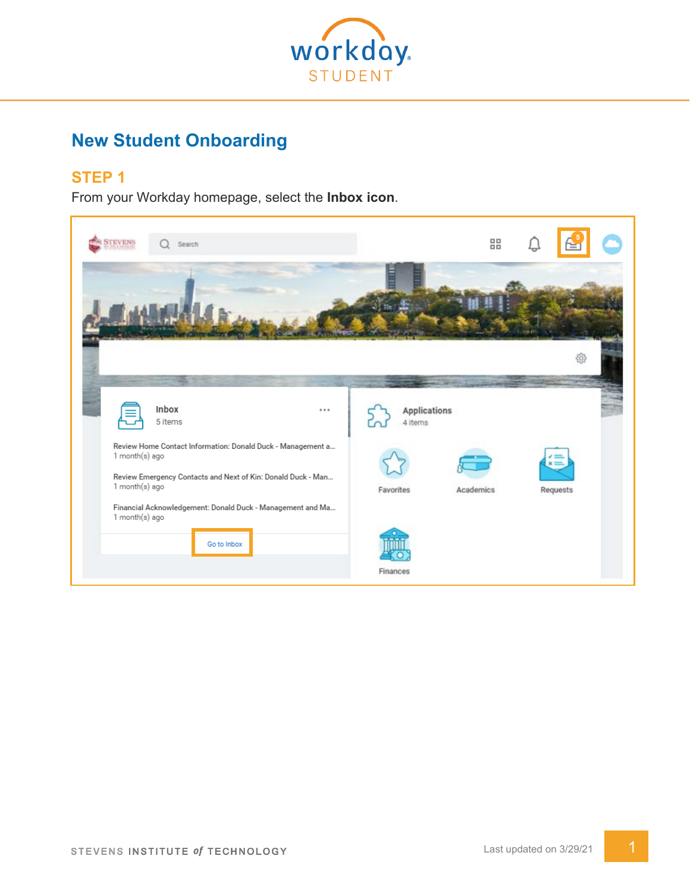

# **New Student Onboarding**

# **STEP 1**

From your Workday homepage, select the Inbox icon.

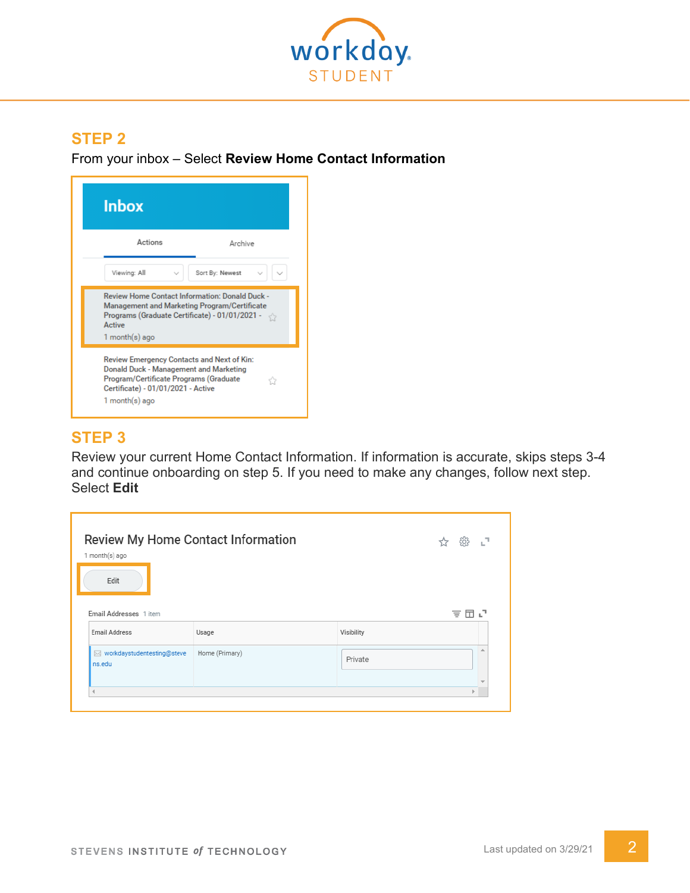

From your inbox – Select **Review Home Contact Information**



# **STEP 3**

Review your current Home Contact Information. If information is accurate, skips steps 3-4 and continue onboarding on step 5. If you need to make any changes, follow next step. **Select Edit** 

| Review My Home Contact Information   | цP             |            |     |
|--------------------------------------|----------------|------------|-----|
| 1 month(s) ago<br>Edit               |                |            |     |
| Email Addresses 1 item               |                |            | 支田に |
| <b>Email Address</b>                 | Usage          | Visibility |     |
|                                      |                |            |     |
| workdaystudentesting@steve<br>ns.edu | Home (Primary) | Private    | ∸   |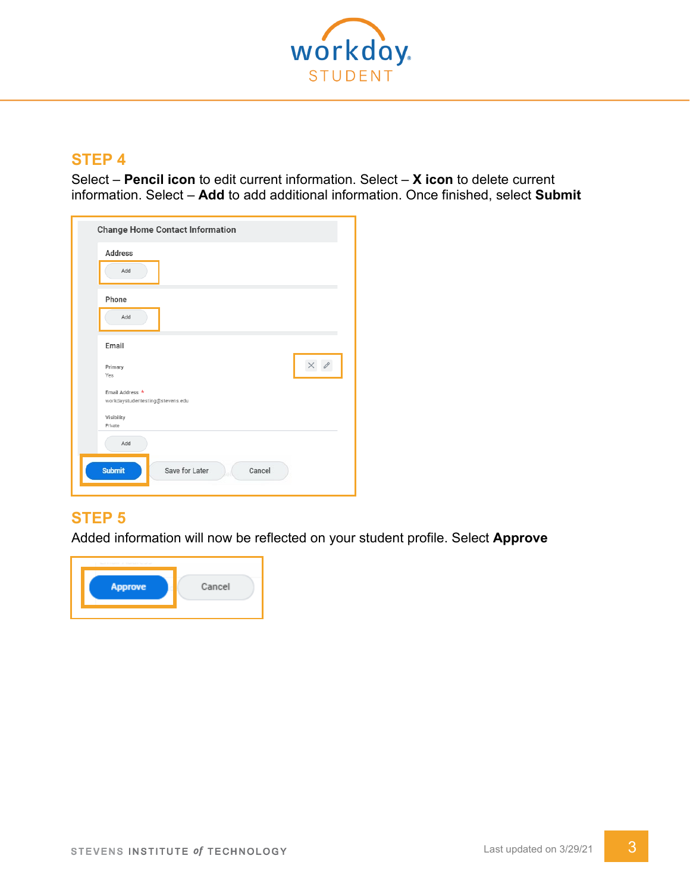

Select – **Pencil icon** to edit current information. Select – **X icon** to delete current information. Select – Add to add additional information. Once finished, select Submit

| <b>Change Home Contact Information</b><br><b>Address</b><br>Add              |              |
|------------------------------------------------------------------------------|--------------|
| Phone<br>Add                                                                 |              |
| Email                                                                        |              |
| Primary<br>Yes                                                               | $\mathscr O$ |
| Email Address *<br>workdaystudentesting@stevens.edu<br>Visibility<br>Private |              |
| Add<br><b>Submit</b><br>Save for Later<br>Cancel                             |              |

# **STEP 5**

Added information will now be reflected on your student profile. Select **Approve**

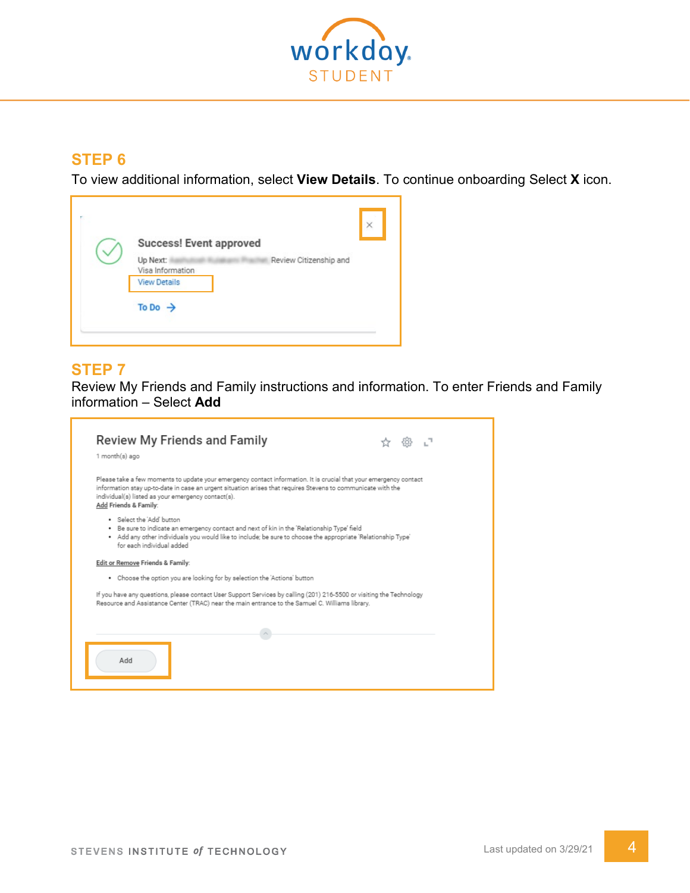

To view additional information, select **View Details**. To continue onboarding Select **X** icon.

| Success! Event approved      |                        | × |
|------------------------------|------------------------|---|
| Up Next:<br>Visa Information | Review Citizenship and |   |
| <b>View Details</b>          |                        |   |
| To Do $\rightarrow$          |                        |   |
|                              |                        |   |

#### **STEP 7**

Review My Friends and Family instructions and information. To enter Friends and Family information – Select **Add**

| 1 month(s) ago                                                                                                                                                                                                                                                                                                   |  |  |
|------------------------------------------------------------------------------------------------------------------------------------------------------------------------------------------------------------------------------------------------------------------------------------------------------------------|--|--|
| Please take a few moments to update your emergency contact information. It is crucial that your emergency contact<br>information stay up-to-date in case an urgent situation arises that requires Stevens to communicate with the<br>individual(s) listed as your emergency contact(s).<br>Add Friends & Family: |  |  |
| . Select the 'Add' button<br>. Be sure to indicate an emergency contact and next of kin in the 'Relationship Type' field<br>. Add any other individuals you would like to include; be sure to choose the appropriate 'Relationship Type'<br>for each individual added                                            |  |  |
| Edit or Remove Friends & Family:                                                                                                                                                                                                                                                                                 |  |  |
| . Choose the option you are looking for by selection the 'Actions' button                                                                                                                                                                                                                                        |  |  |
| If you have any questions, please contact User Support Services by calling (201) 216-5500 or visiting the Technology<br>Resource and Assistance Center (TRAC) near the main entrance to the Samuel C. Williams library.                                                                                          |  |  |
|                                                                                                                                                                                                                                                                                                                  |  |  |
| Add                                                                                                                                                                                                                                                                                                              |  |  |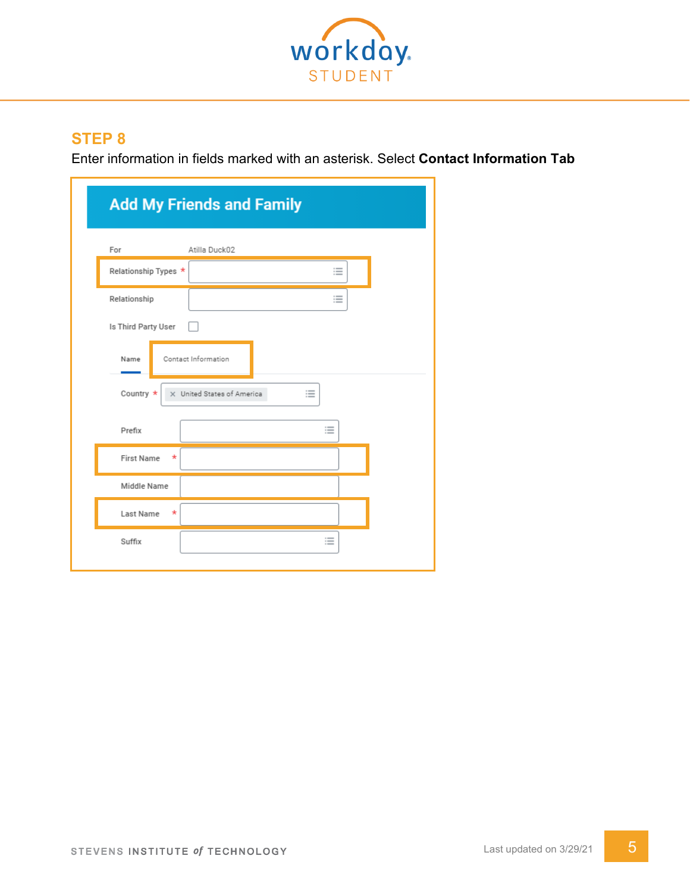

Enter information in fields marked with an asterisk. Select **Contact Information Tab**

|                               | <b>Add My Friends and Family</b> |  |
|-------------------------------|----------------------------------|--|
| For                           | Atilla Duck02                    |  |
| Relationship Types *          | ≔                                |  |
| Relationship                  | 洼                                |  |
| Is Third Party User           |                                  |  |
| Name                          | Contact Information              |  |
| Country *                     | 這<br>X United States of America  |  |
| Prefix                        | 這                                |  |
| <b>First Name</b><br>$^\star$ |                                  |  |
| Middle Name                   |                                  |  |
| Last Name<br>$\star$          |                                  |  |
| Suffix                        | ≔                                |  |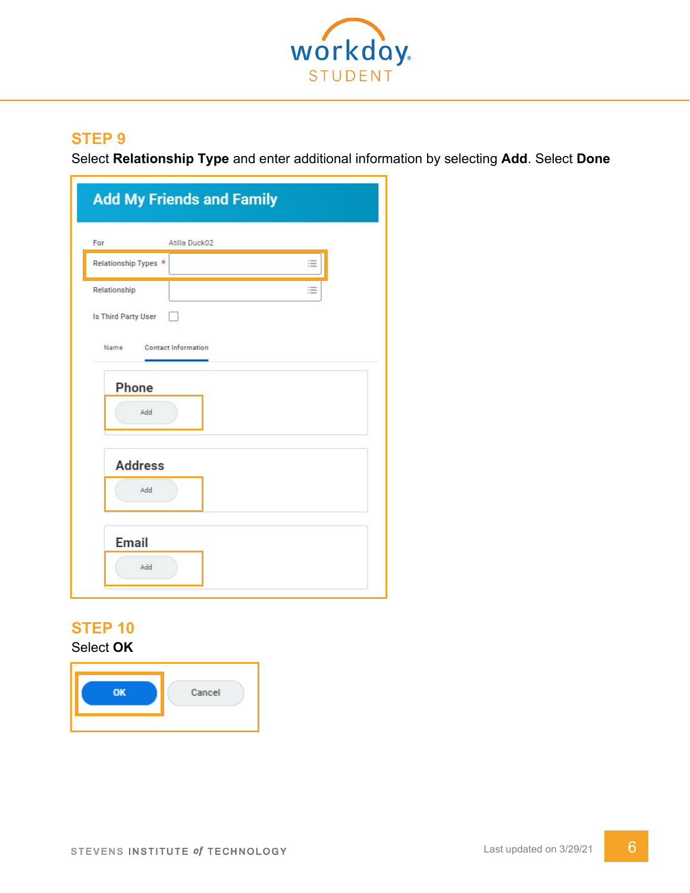

Select **Relationship Type** and enter additional information by selecting **Add**. Select **Done**

| For                  | Atilla Duck02 |   |  |
|----------------------|---------------|---|--|
| Relationship Types * |               | 這 |  |
| Relationship         |               | 洼 |  |
| Is Third Party User  |               |   |  |
| Phone<br>Add         |               |   |  |
| <b>Address</b>       |               |   |  |
| Add                  |               |   |  |

# **STEP 10**

Select **OK**

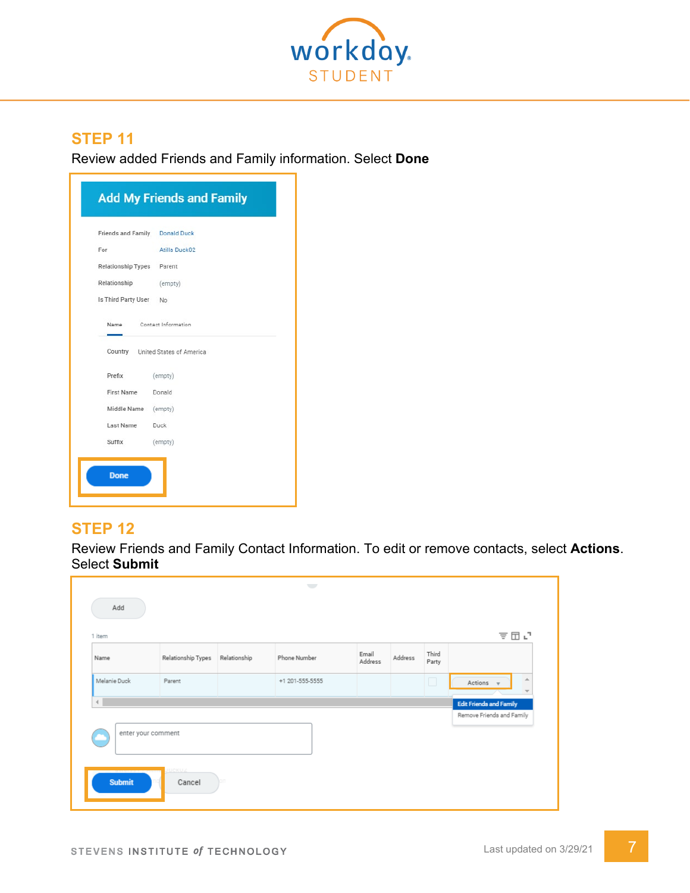

Review added Friends and Family information. Select **Done**

|                           | Friends and Family Donald Duck   |
|---------------------------|----------------------------------|
| For                       | Atilla Duck02                    |
| Relationship Types Parent |                                  |
| Relationship (empty)      |                                  |
| Is Third Party User No    |                                  |
| Name                      | Contact Information              |
|                           | Country United States of America |
| Prefix                    | (empty)                          |
| First Name Donald         |                                  |
| Middle Name (empty)       |                                  |
| Last Name Duck            |                                  |
| Suffix                    | (empty)                          |

The graphic you would see in Workday appears immediately below this step

#### **STEP 12**

Review Friends and Family Contact Information. To edit or remove contacts, select **Actions**. Select **Submit**

| Name                               | Relationship Types | Relationship | Phone Number    | Email<br>Address | Address | Third<br>Party |                                       |
|------------------------------------|--------------------|--------------|-----------------|------------------|---------|----------------|---------------------------------------|
| Melanie Duck                       | Parent             |              | +1 201-555-5555 |                  |         | $\Box$         | 业<br>Actions v<br>$\overline{\nabla}$ |
| $\left\langle \cdot \right\rangle$ |                    |              |                 |                  |         |                | <b>Edit Friends and Family</b>        |
|                                    |                    |              |                 |                  |         |                | Remove Friends and Family             |
| enter your comment                 |                    |              |                 |                  |         |                |                                       |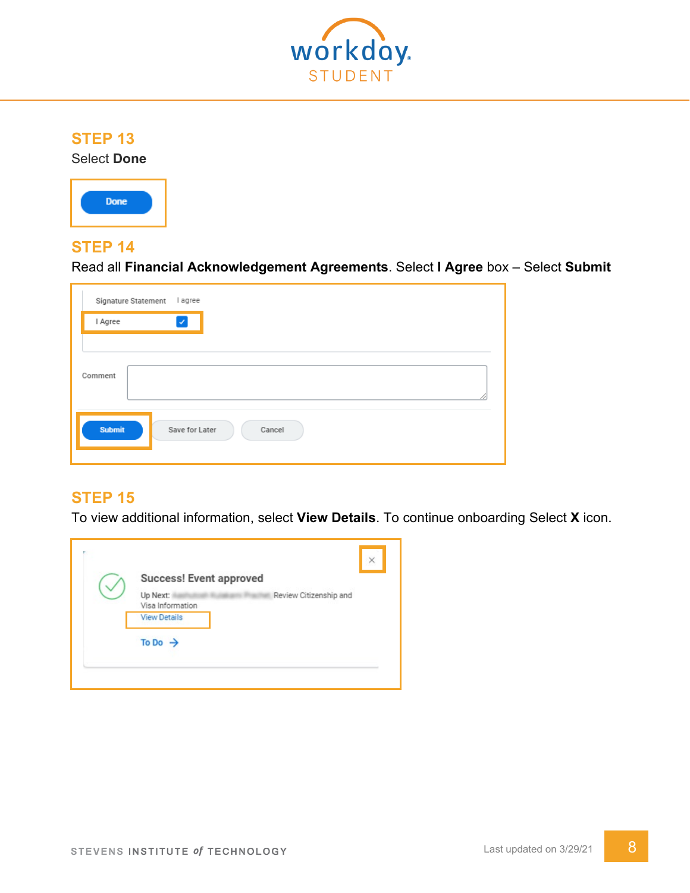

**Select Done** 



#### **STEP 14**

Read all **Financial Acknowledgement Agreements**. Select **I Agree** box – Select **Submit**

|         | Signature Statement | I agree                |        |  |  |
|---------|---------------------|------------------------|--------|--|--|
| I Agree |                     | $\vert\downarrow\vert$ |        |  |  |
|         |                     |                        |        |  |  |
| Comment |                     |                        |        |  |  |
| Submit  |                     | Save for Later         | Cancel |  |  |

# **STEP 15**

To view additional information, select **View Details**. To continue onboarding Select **X** icon.

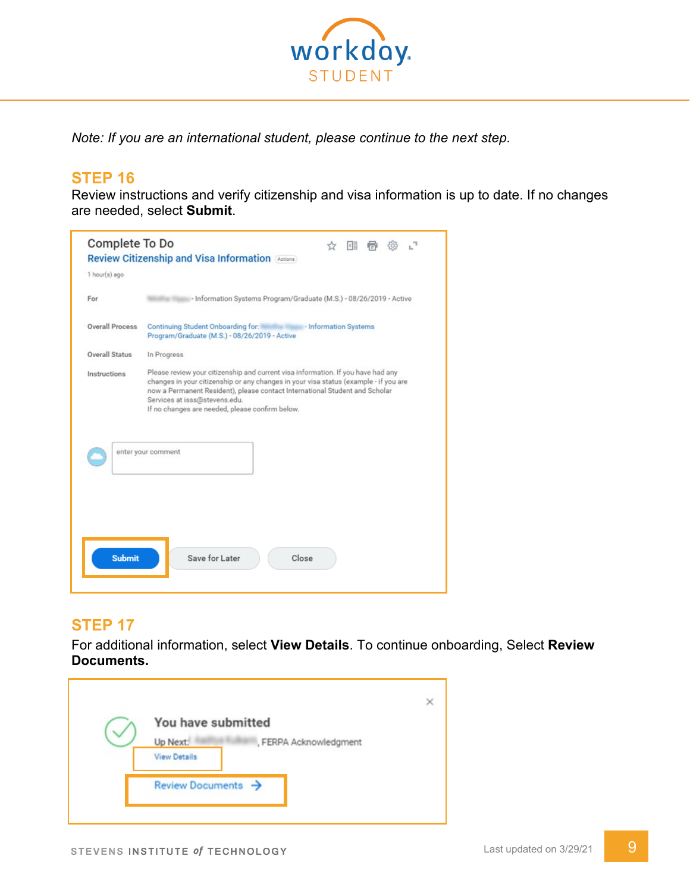

*Note: If you are an international student, please continue to the next step.*

## **STEP 16**

Review instructions and verify citizenship and visa information is up to date. If no changes are needed, select **Submit**.



# **STEP 17**

For additional information, select **View Details**. To continue onboarding, Select **Review Documents.** 

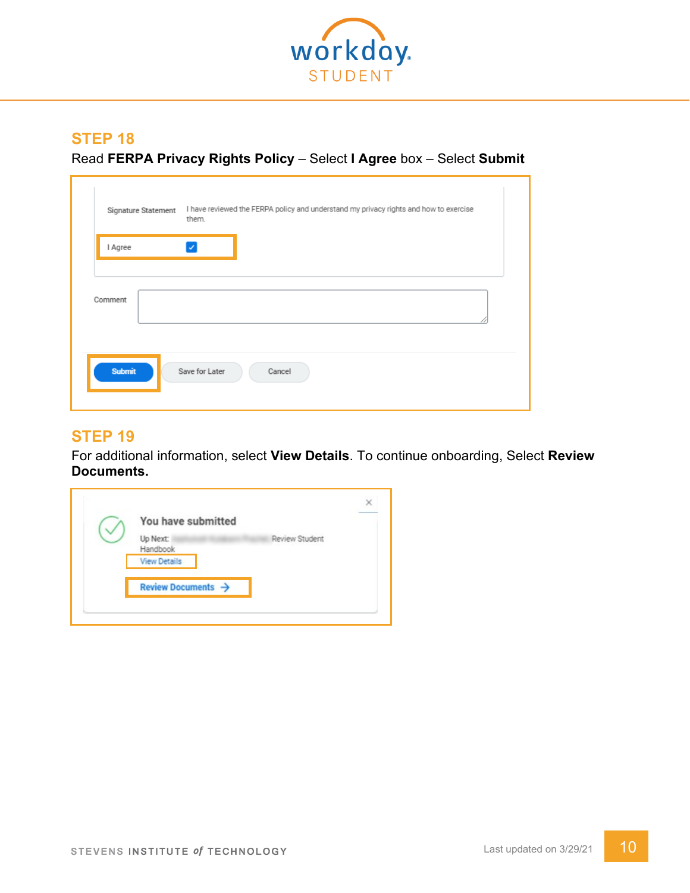

Read **FERPA Privacy Rights Policy** – Select **I Agree** box – Select **Submit**

|         | Signature Statement | them.          | I have reviewed the FERPA policy and understand my privacy rights and how to exercise |  |
|---------|---------------------|----------------|---------------------------------------------------------------------------------------|--|
| I Agree |                     |                |                                                                                       |  |
| Comment |                     |                |                                                                                       |  |
| Submit  |                     | Save for Later | Cancel                                                                                |  |

#### **STEP 19**

For additional information, select **View Details**. To continue onboarding, Select **Review Documents.** 

| Review Student<br>Up Next:<br>Handbook | You have submitted             |  |
|----------------------------------------|--------------------------------|--|
|                                        |                                |  |
|                                        | <b>View Details</b>            |  |
|                                        | Review Documents $\rightarrow$ |  |